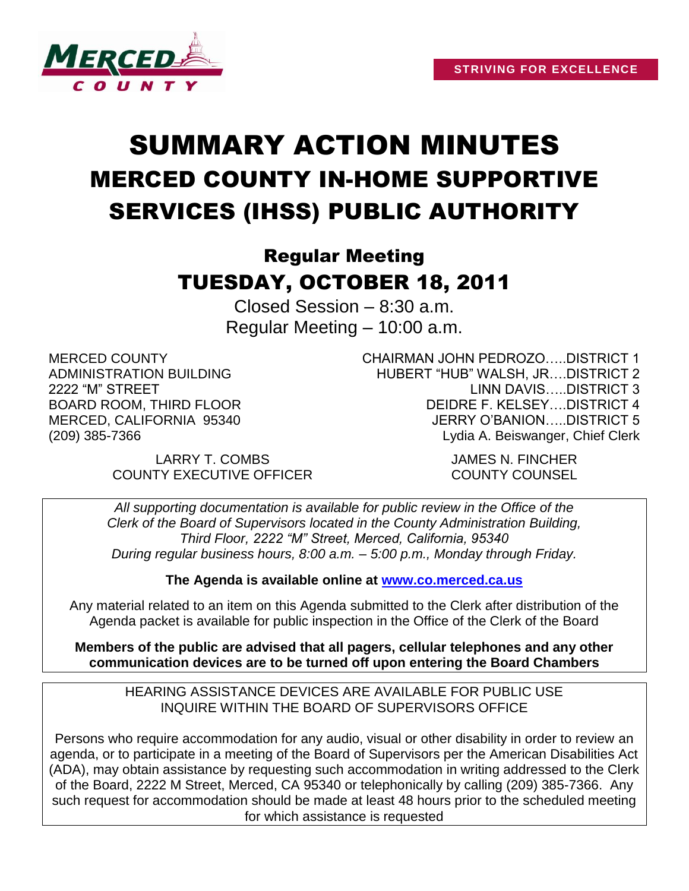

# SUMMARY ACTION MINUTES MERCED COUNTY IN-HOME SUPPORTIVE SERVICES (IHSS) PUBLIC AUTHORITY

# Regular Meeting TUESDAY, OCTOBER 18, 2011

Closed Session – 8:30 a.m. Regular Meeting – 10:00 a.m.

MERCED COUNTY ADMINISTRATION BUILDING 2222 "M" STREET BOARD ROOM, THIRD FLOOR MERCED, CALIFORNIA 95340 (209) 385-7366

> LARRY T. COMBS JAMES N. FINCHER COUNTY EXECUTIVE OFFICER COUNTY COUNSEL

CHAIRMAN JOHN PEDROZO…..DISTRICT 1 HUBERT "HUB" WALSH, JR….DISTRICT 2 LINN DAVIS…..DISTRICT 3 DEIDRE F. KELSEY DISTRICT 4 JERRY O'BANION…..DISTRICT 5 Lydia A. Beiswanger, Chief Clerk

*All supporting documentation is available for public review in the Office of the Clerk of the Board of Supervisors located in the County Administration Building, Third Floor, 2222 "M" Street, Merced, California, 95340 During regular business hours, 8:00 a.m. – 5:00 p.m., Monday through Friday.*

**The Agenda is available online at [www.co.merced.ca.us](http://www.co.merced.ca.us/)**

Any material related to an item on this Agenda submitted to the Clerk after distribution of the Agenda packet is available for public inspection in the Office of the Clerk of the Board

**Members of the public are advised that all pagers, cellular telephones and any other communication devices are to be turned off upon entering the Board Chambers**

HEARING ASSISTANCE DEVICES ARE AVAILABLE FOR PUBLIC USE INQUIRE WITHIN THE BOARD OF SUPERVISORS OFFICE

Persons who require accommodation for any audio, visual or other disability in order to review an agenda, or to participate in a meeting of the Board of Supervisors per the American Disabilities Act (ADA), may obtain assistance by requesting such accommodation in writing addressed to the Clerk of the Board, 2222 M Street, Merced, CA 95340 or telephonically by calling (209) 385-7366. Any such request for accommodation should be made at least 48 hours prior to the scheduled meeting for which assistance is requested